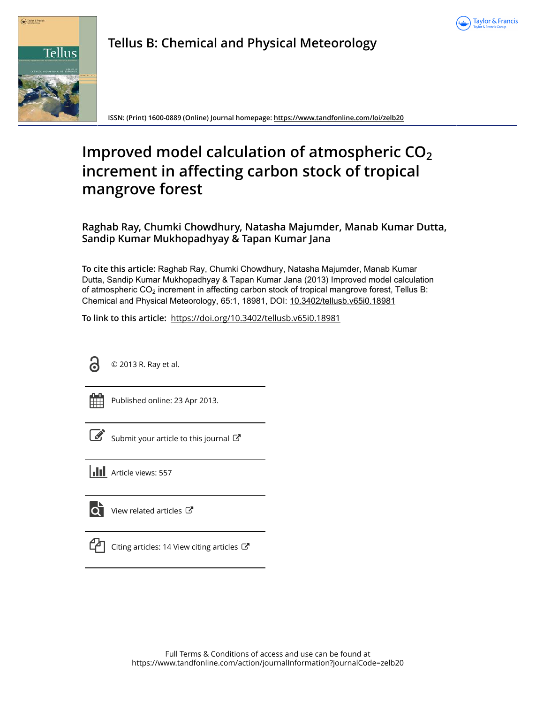



**Tellus B: Chemical and Physical Meteorology**

**ISSN: (Print) 1600-0889 (Online) Journal homepage:<https://www.tandfonline.com/loi/zelb20>**

# **Improved model calculation of atmospheric CO<sup>2</sup> increment in affecting carbon stock of tropical mangrove forest**

**Raghab Ray, Chumki Chowdhury, Natasha Majumder, Manab Kumar Dutta, Sandip Kumar Mukhopadhyay & Tapan Kumar Jana**

**To cite this article:** Raghab Ray, Chumki Chowdhury, Natasha Majumder, Manab Kumar Dutta, Sandip Kumar Mukhopadhyay & Tapan Kumar Jana (2013) Improved model calculation of atmospheric  $CO<sub>2</sub>$  increment in affecting carbon stock of tropical mangrove forest, Tellus B: Chemical and Physical Meteorology, 65:1, 18981, DOI: [10.3402/tellusb.v65i0.18981](https://www.tandfonline.com/action/showCitFormats?doi=10.3402/tellusb.v65i0.18981)

**To link to this article:** <https://doi.org/10.3402/tellusb.v65i0.18981>



© 2013 R. Ray et al.

| -<br>_ | - |
|--------|---|
|        |   |
|        |   |
|        |   |

Published online: 23 Apr 2013.

| ł |
|---|

[Submit your article to this journal](https://www.tandfonline.com/action/authorSubmission?journalCode=zelb20&show=instructions)  $\mathbb{Z}$ 





[View related articles](https://www.tandfonline.com/doi/mlt/10.3402/tellusb.v65i0.18981) C



[Citing articles: 14 View citing articles](https://www.tandfonline.com/doi/citedby/10.3402/tellusb.v65i0.18981#tabModule)  $\mathbb{Z}$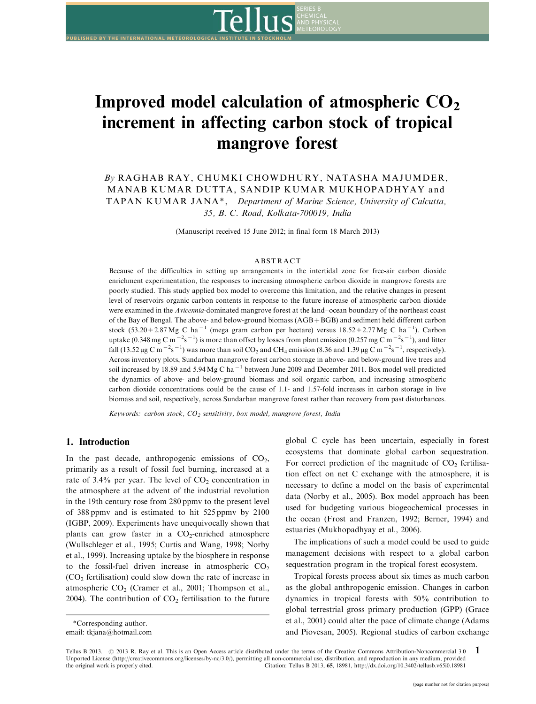

SERIES B

**METEOROLOGY** 

By RAGHAB RAY, CHUMKI CHOWDHURY, NATASHA MAJUMDER, MANAB KUMAR DUTTA, SANDIP KUMAR MUKHOPADHYAY and TAPAN KUMAR JANA\*, Department of Marine Science, University of Calcutta, 35, B. C. Road, Kolkata-700019, India

(Manuscript received 15 June 2012; in final form 18 March 2013)

#### ABSTRACT

Because of the difficulties in setting up arrangements in the intertidal zone for free-air carbon dioxide enrichment experimentation, the responses to increasing atmospheric carbon dioxide in mangrove forests are poorly studied. This study applied box model to overcome this limitation, and the relative changes in present level of reservoirs organic carbon contents in response to the future increase of atmospheric carbon dioxide were examined in the Avicennia-dominated mangrove forest at the land-ocean boundary of the northeast coast of the Bay of Bengal. The above- and below-ground biomass (AGB+BGB) and sediment held different carbon stock  $(53.20 \pm 2.87 \text{ Mg C} \text{ ha}^{-1}$  (mega gram carbon per hectare) versus  $18.52 \pm 2.77 \text{ Mg C} \text{ ha}^{-1}$ ). Carbon uptake (0.348 mg C m<sup>-2</sup>s<sup>-1</sup>) is more than offset by losses from plant emission (0.257 mg C m<sup>-2</sup>s<sup>-1</sup>), and litter fall (13.52 µg C m<sup>-2</sup>s<sup>-1</sup>) was more than soil CO<sub>2</sub> and CH<sub>4</sub> emission (8.36 and 1.39 µg C m<sup>-2</sup>s<sup>-1</sup>, respectively). Across inventory plots, Sundarban mangrove forest carbon storage in above- and below-ground live trees and soil increased by 18.89 and 5.94 Mg C ha<sup>-1</sup> between June 2009 and December 2011. Box model well predicted the dynamics of above- and below-ground biomass and soil organic carbon, and increasing atmospheric carbon dioxide concentrations could be the cause of 1.1- and 1.57-fold increases in carbon storage in live biomass and soil, respectively, across Sundarban mangrove forest rather than recovery from past disturbances.

Keywords: carbon stock,  $CO_2$  sensitivity, box model, mangrove forest, India

# 1. Introduction

In the past decade, anthropogenic emissions of  $CO<sub>2</sub>$ , primarily as a result of fossil fuel burning, increased at a rate of  $3.4\%$  per year. The level of  $CO<sub>2</sub>$  concentration in the atmosphere at the advent of the industrial revolution in the 19th century rose from 280 ppmv to the present level of 388 ppmv and is estimated to hit 525 ppmv by 2100 (IGBP, 2009). Experiments have unequivocally shown that plants can grow faster in a  $CO<sub>2</sub>$ -enriched atmosphere (Wullschleger et al., 1995; Curtis and Wang, 1998; Norby et al., 1999). Increasing uptake by the biosphere in response to the fossil-fuel driven increase in atmospheric  $CO<sub>2</sub>$  $(CO<sub>2</sub>$  fertilisation) could slow down the rate of increase in atmospheric  $CO<sub>2</sub>$  (Cramer et al., 2001; Thompson et al., 2004). The contribution of  $CO<sub>2</sub>$  fertilisation to the future

**PUBLISHED BY THE INTERNATIONAL METEOROLOGICAL INSTITUTE IN STOCKHOLM**

The implications of such a model could be used to guide management decisions with respect to a global carbon sequestration program in the tropical forest ecosystem.

Tropical forests process about six times as much carbon as the global anthropogenic emission. Changes in carbon dynamics in tropical forests with 50% contribution to global terrestrial gross primary production (GPP) (Grace et al., 2001) could alter the pace of climate change (Adams and Piovesan, 2005). Regional studies of carbon exchange

Tellus B 2013. © 2013 R. Ray et al. This is an Open Access article distributed under the terms of the Creative Commons Attribution-Noncommercial 3.0 Unported License (http://creativecommons.org/licenses/by-nc/3.0/), permitting all non-commercial use, distribution, and reproduction in any medium, provided the original work is properly cited. 1 [Citation: Tellus B 2013,](http://www.tellusb.net/index.php/tellusb/article/view/18981) 65, 18981,<http://dx.doi.org/10.3402/tellusb.v65i0.18981>

<sup>\*</sup>Corresponding author. email: tkjana@hotmail.com

global C cycle has been uncertain, especially in forest ecosystems that dominate global carbon sequestration. For correct prediction of the magnitude of  $CO<sub>2</sub>$  fertilisation effect on net C exchange with the atmosphere, it is necessary to define a model on the basis of experimental data (Norby et al., 2005). Box model approach has been used for budgeting various biogeochemical processes in the ocean (Frost and Franzen, 1992; Berner, 1994) and estuaries (Mukhopadhyay et al., 2006).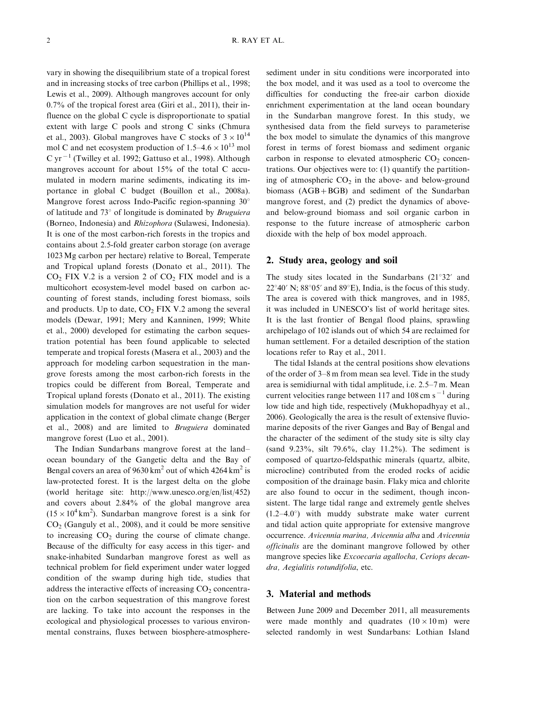vary in showing the disequilibrium state of a tropical forest and in increasing stocks of tree carbon (Phillips et al., 1998; Lewis et al., 2009). Although mangroves account for only 0.7% of the tropical forest area (Giri et al., 2011), their influence on the global C cycle is disproportionate to spatial extent with large C pools and strong C sinks (Chmura et al., 2003). Global mangroves have C stocks of  $3 \times 10^{14}$ mol C and net ecosystem production of  $1.5-4.6\times10^{13}$  mol C yr<sup> $-1$ </sup> (Twilley et al. 1992; Gattuso et al., 1998). Although mangroves account for about 15% of the total C accumulated in modern marine sediments, indicating its importance in global C budget (Bouillon et al., 2008a). Mangrove forest across Indo-Pacific region-spanning  $30^{\circ}$ of latitude and  $73^\circ$  of longitude is dominated by *Bruguiera* (Borneo, Indonesia) and Rhizophora (Sulawesi, Indonesia). It is one of the most carbon-rich forests in the tropics and contains about 2.5-fold greater carbon storage (on average 1023Mg carbon per hectare) relative to Boreal, Temperate and Tropical upland forests (Donato et al., 2011). The  $CO<sub>2</sub>$  FIX V.2 is a version 2 of  $CO<sub>2</sub>$  FIX model and is a multicohort ecosystem-level model based on carbon accounting of forest stands, including forest biomass, soils and products. Up to date,  $CO<sub>2</sub>$  FIX V.2 among the several models (Dewar, 1991; Mery and Kanninen, 1999; White et al., 2000) developed for estimating the carbon sequestration potential has been found applicable to selected temperate and tropical forests (Masera et al., 2003) and the approach for modeling carbon sequestration in the mangrove forests among the most carbon-rich forests in the tropics could be different from Boreal, Temperate and Tropical upland forests (Donato et al., 2011). The existing simulation models for mangroves are not useful for wider application in the context of global climate change (Berger et al., 2008) and are limited to Bruguiera dominated mangrove forest (Luo et al., 2001).

The Indian Sundarbans mangrove forest at the land ocean boundary of the Gangetic delta and the Bay of Bengal covers an area of  $9630 \text{ km}^2$  out of which  $4264 \text{ km}^2$  is law-protected forest. It is the largest delta on the globe (world heritage site: [http://www.unesco.org/en/list/452\)](http://www.unesco.org/en/list/452) and covers about 2.84% of the global mangrove area  $(15 \times 10^4 \text{ km}^2)$ . Sundarban mangrove forest is a sink for  $CO<sub>2</sub>$  (Ganguly et al., 2008), and it could be more sensitive to increasing  $CO<sub>2</sub>$  during the course of climate change. Because of the difficulty for easy access in this tiger- and snake-inhabited Sundarban mangrove forest as well as technical problem for field experiment under water logged condition of the swamp during high tide, studies that address the interactive effects of increasing  $CO<sub>2</sub>$  concentration on the carbon sequestration of this mangrove forest are lacking. To take into account the responses in the ecological and physiological processes to various environmental constrains, fluxes between biosphere-atmospheresediment under in situ conditions were incorporated into the box model, and it was used as a tool to overcome the difficulties for conducting the free-air carbon dioxide enrichment experimentation at the land ocean boundary in the Sundarban mangrove forest. In this study, we synthesised data from the field surveys to parameterise the box model to simulate the dynamics of this mangrove forest in terms of forest biomass and sediment organic carbon in response to elevated atmospheric  $CO<sub>2</sub>$  concentrations. Our objectives were to: (1) quantify the partitioning of atmospheric  $CO<sub>2</sub>$  in the above- and below-ground biomass  $(AGB + BGB)$  and sediment of the Sundarban mangrove forest, and (2) predict the dynamics of aboveand below-ground biomass and soil organic carbon in response to the future increase of atmospheric carbon dioxide with the help of box model approach.

#### 2. Study area, geology and soil

The study sites located in the Sundarbans  $(21^{\circ}32'$  and  $22^{\circ}40'$  N;  $88^{\circ}05'$  and  $89^{\circ}E$ ), India, is the focus of this study. The area is covered with thick mangroves, and in 1985, it was included in UNESCO's list of world heritage sites. It is the last frontier of Bengal flood plains, sprawling archipelago of 102 islands out of which 54 are reclaimed for human settlement. For a detailed description of the station locations refer to Ray et al., 2011.

The tidal Islands at the central positions show elevations of the order of 3-8 m from mean sea level. Tide in the study area is semidiurnal with tidal amplitude, i.e. 2.5-7 m. Mean current velocities range between 117 and 108 cm  $s^{-1}$  during low tide and high tide, respectively (Mukhopadhyay et al., 2006). Geologically the area is the result of extensive fluviomarine deposits of the river Ganges and Bay of Bengal and the character of the sediment of the study site is silty clay (sand 9.23%, silt 79.6%, clay 11.2%). The sediment is composed of quartzo-feldspathic minerals (quartz, albite, microcline) contributed from the eroded rocks of acidic composition of the drainage basin. Flaky mica and chlorite are also found to occur in the sediment, though inconsistent. The large tidal range and extremely gentle shelves  $(1.2-4.0^{\circ})$  with muddy substrate make water current and tidal action quite appropriate for extensive mangrove occurrence. Avicennia marina, Avicennia alba and Avicennia officinalis are the dominant mangrove followed by other mangrove species like Excoecaria agallocha, Ceriops decandra, Aegialitis rotundifolia, etc.

#### 3. Material and methods

Between June 2009 and December 2011, all measurements were made monthly and quadrates  $(10 \times 10 \text{ m})$  were selected randomly in west Sundarbans: Lothian Island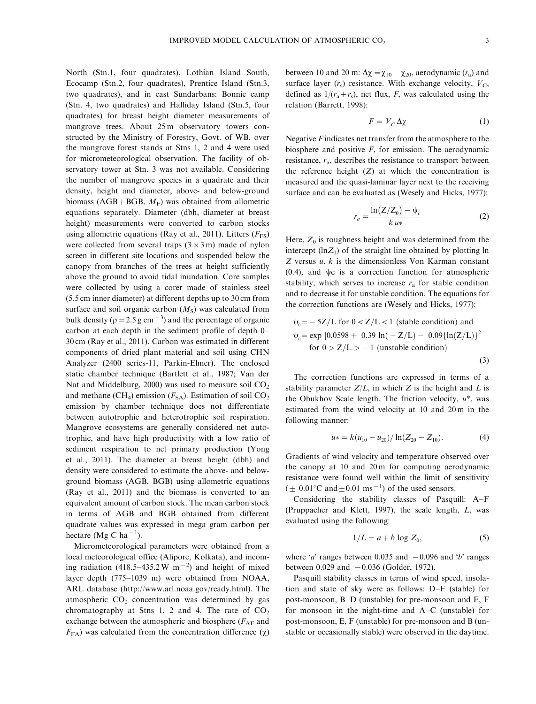North (Stn.1, four quadrates), Lothian Island South, Ecocamp (Stn.2, four quadrates), Prentice Island (Stn.3, two quadrates), and in east Sundarbans: Bonnie camp (Stn. 4, two quadrates) and Halliday Island (Stn.5, four quadrates) for breast height diameter measurements of mangrove trees. About 25m observatory towers constructed by the Ministry of Forestry, Govt. of WB, over the mangrove forest stands at Stns 1, 2 and 4 were used for micrometeorological observation. The facility of observatory tower at Stn. 3 was not available. Considering the number of mangrove species in a quadrate and their density, height and diameter, above- and below-ground biomass (AGB+BGB,  $M_F$ ) was obtained from allometric equations separately. Diameter (dbh, diameter at breast height) measurements were converted to carbon stocks using allometric equations (Ray et al., 2011). Litters  $(F_{FS})$ were collected from several traps  $(3 \times 3 \text{ m})$  made of nylon screen in different site locations and suspended below the canopy from branches of the trees at height sufficiently above the ground to avoid tidal inundation. Core samples were collected by using a corer made of stainless steel (5.5 cm inner diameter) at different depths up to 30 cm from surface and soil organic carbon  $(M<sub>S</sub>)$  was calculated from bulk density ( $\rho = 2.5$  g cm<sup>-3</sup>) and the percentage of organic carbon at each depth in the sediment profile of depth 0-30 cm (Ray et al., 2011). Carbon was estimated in different components of dried plant material and soil using CHN Analyzer (2400 series-11, Parkin-Elmer). The enclosed static chamber technique (Bartlett et al., 1987; Van der Nat and Middelburg,  $2000$ ) was used to measure soil  $CO<sub>2</sub>$ and methane (CH<sub>4</sub>) emission ( $F_{SA}$ ). Estimation of soil CO<sub>2</sub> emission by chamber technique does not differentiate between autotrophic and heterotrophic soil respiration. Mangrove ecosystems are generally considered net autotrophic, and have high productivity with a low ratio of sediment respiration to net primary production (Yong et al., 2011). The diameter at breast height (dbh) and density were considered to estimate the above- and belowground biomass (AGB, BGB) using allometric equations (Ray et al., 2011) and the biomass is converted to an equivalent amount of carbon stock. The mean carbon stock in terms of AGB and BGB obtained from different quadrate values was expressed in mega gram carbon per hectare (Mg C ha<sup>-1</sup>).

Micrometeorological parameters were obtained from a local meteorological office (Alipore, Kolkata), and incoming radiation (418.5–435.2 W m<sup>-2</sup>) and height of mixed layer depth (775-1039 m) were obtained from NOAA, ARL database (<http://www.arl.noaa.gov/ready.html>). The atmospheric  $CO<sub>2</sub>$  concentration was determined by gas chromatography at Stns 1, 2 and 4. The rate of  $CO<sub>2</sub>$ exchange between the atmospheric and biosphere ( $F_{AF}$  and  $F_{FA}$ ) was calculated from the concentration difference ( $\chi$ )

between 10 and 20 m:  $\Delta \chi = \chi_{10} - \chi_{20}$ , aerodynamic  $(r_a)$  and surface layer  $(r_s)$  resistance. With exchange velocity,  $V_c$ , defined as  $1/(r_a + r_s)$ , net flux, F, was calculated using the relation (Barrett, 1998):

$$
F = V_C \Delta \chi \tag{1}
$$

Negative  $F$  indicates net transfer from the atmosphere to the biosphere and positive F, for emission. The aerodynamic resistance,  $r_a$ , describes the resistance to transport between the reference height  $(Z)$  at which the concentration is measured and the quasi-laminar layer next to the receiving surface and can be evaluated as (Wesely and Hicks, 1977):

$$
r_a = \frac{\ln\left(\frac{Z}{Z_0}\right) - \psi_c}{k u^*}
$$
 (2)

Here,  $Z_0$  is roughness height and was determined from the intercept  $(\ln Z_0)$  of the straight line obtained by plotting ln  $Z$  versus  $u$ .  $k$  is the dimensionless Von Karman constant  $(0.4)$ , and  $\psi c$  is a correction function for atmospheric stability, which serves to increase  $r_a$  for stable condition and to decrease it for unstable condition. The equations for the correction functions are (Wesely and Hicks, 1977):

$$
\psi_c = -5Z/L \text{ for } 0 < Z/L < 1 \text{ (stable condition) and}
$$
\n
$$
\psi_c = \exp\left[0.0598 + 0.39 \ln(-Z/L) - 0.09\{\ln(Z/L)\}\right]^2
$$
\nfor  $0 > Z/L > -1$  (unstable condition)

\n(3)

The correction functions are expressed in terms of a stability parameter  $Z/L$ , in which Z is the height and L is the Obukhov Scale length. The friction velocity,  $u^*$ , was estimated from the wind velocity at 10 and 20 m in the following manner:

$$
u* = k(u_{10} - u_{20}) / \ln(Z_{20} - Z_{10}).
$$
 (4)

Gradients of wind velocity and temperature observed over the canopy at 10 and 20 m for computing aerodynamic resistance were found well within the limit of sensitivity  $(\pm 0.01^{\circ}\text{C}$  and  $\pm 0.01$  ms<sup>-1</sup>) of the used sensors.

Considering the stability classes of Pasquill: A-F (Pruppacher and Klett, 1997), the scale length, L, was evaluated using the following:

$$
1/L = a + b \log Z_0,\tag{5}
$$

where '*a*' ranges between 0.035 and  $-0.096$  and '*b*' ranges between  $0.029$  and  $-0.036$  (Golder, 1972).

Pasquill stability classes in terms of wind speed, insolation and state of sky were as follows: D-F (stable) for post-monsoon, B-D (unstable) for pre-monsoon and E, F for monsoon in the night-time and A-C (unstable) for post-monsoon, E, F (unstable) for pre-monsoon and B (unstable or occasionally stable) were observed in the daytime.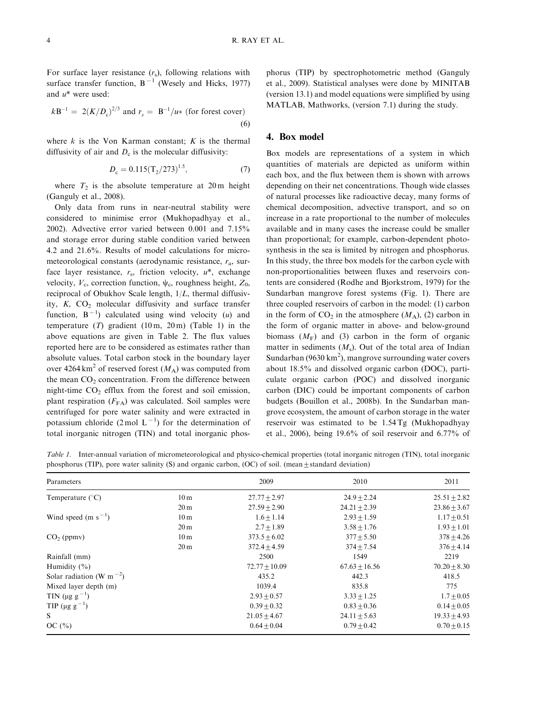For surface layer resistance  $(r<sub>s</sub>)$ , following relations with surface transfer function,  $B^{-1}$  (Wesely and Hicks, 1977) and  $u^*$  were used:

$$
k\mathbf{B}^{-1} = 2(K/D_c)^{2/3} \text{ and } r_s = \mathbf{B}^{-1}/u* \text{ (for forest cover)}
$$
\n(6)

where  $k$  is the Von Karman constant;  $K$  is the thermal diffusivity of air and  $D<sub>c</sub>$  is the molecular diffusivity:

$$
D_{\rm c} = 0.115 \left( \frac{T_2}{273} \right)^{1.5},\tag{7}
$$

where  $T_2$  is the absolute temperature at 20 m height (Ganguly et al., 2008).

Only data from runs in near-neutral stability were considered to minimise error (Mukhopadhyay et al., 2002). Advective error varied between 0.001 and 7.15% and storage error during stable condition varied between 4.2 and 21.6%. Results of model calculations for micrometeorological constants (aerodynamic resistance,  $r_a$ , surface layer resistance,  $r_s$ , friction velocity,  $u^*$ , exchange velocity,  $V_c$ , correction function,  $\psi_c$ , roughness height,  $Z_0$ , reciprocal of Obukhov Scale length, 1/L, thermal diffusivity,  $K$ ,  $CO<sub>2</sub>$  molecular diffusivity and surface transfer function,  $B^{-1}$ ) calculated using wind velocity (*u*) and temperature  $(T)$  gradient  $(10 \text{ m}, 20 \text{ m})$  (Table 1) in the above equations are given in Table 2. The flux values reported here are to be considered as estimates rather than absolute values. Total carbon stock in the boundary layer over 4264 km<sup>2</sup> of reserved forest  $(M_A)$  was computed from the mean  $CO<sub>2</sub>$  concentration. From the difference between night-time  $CO<sub>2</sub>$  efflux from the forest and soil emission, plant respiration  $(F_{FA})$  was calculated. Soil samples were centrifuged for pore water salinity and were extracted in potassium chloride  $(2 \text{ mol L}^{-1})$  for the determination of total inorganic nitrogen (TIN) and total inorganic phosphorus (TIP) by spectrophotometric method (Ganguly et al., 2009). Statistical analyses were done by MINITAB (version 13.1) and model equations were simplified by using MATLAB, Mathworks, (version 7.1) during the study.

# 4. Box model

Box models are representations of a system in which quantities of materials are depicted as uniform within each box, and the flux between them is shown with arrows depending on their net concentrations. Though wide classes of natural processes like radioactive decay, many forms of chemical decomposition, advective transport, and so on increase in a rate proportional to the number of molecules available and in many cases the increase could be smaller than proportional; for example, carbon-dependent photosynthesis in the sea is limited by nitrogen and phosphorus. In this study, the three box models for the carbon cycle with non-proportionalities between fluxes and reservoirs contents are considered (Rodhe and Bjorkstrom, 1979) for the Sundarban mangrove forest systems (Fig. 1). There are three coupled reservoirs of carbon in the model: (1) carbon in the form of  $CO_2$  in the atmosphere  $(M_A)$ , (2) carbon in the form of organic matter in above- and below-ground biomass  $(M_F)$  and (3) carbon in the form of organic matter in sediments  $(M_s)$ . Out of the total area of Indian Sundarban (9630 km<sup>2</sup>), mangrove surrounding water covers about 18.5% and dissolved organic carbon (DOC), particulate organic carbon (POC) and dissolved inorganic carbon (DIC) could be important components of carbon budgets (Bouillon et al., 2008b). In the Sundarban mangrove ecosystem, the amount of carbon storage in the water reservoir was estimated to be 1.54 Tg (Mukhopadhyay et al., 2006), being 19.6% of soil reservoir and 6.77% of

Table 1. Inter-annual variation of micrometeorological and physico-chemical properties (total inorganic nitrogen (TIN), total inorganic phosphorus (TIP), pore water salinity (S) and organic carbon, (OC) of soil. (mean $\pm$ standard deviation)

| Parameters                                        |                 | 2009              | 2010              | 2011             |
|---------------------------------------------------|-----------------|-------------------|-------------------|------------------|
| Temperature $(^{\circ}C)$                         | 10 <sub>m</sub> | $27.77 \pm 2.97$  | $24.9 \pm 2.24$   | $25.51 \pm 2.82$ |
|                                                   | 20 <sub>m</sub> | $27.59 + 2.90$    | $24.21 + 2.39$    | $23.86 \pm 3.67$ |
| Wind speed (m $s^{-1}$ )                          | 10 <sub>m</sub> | $1.6 + 1.14$      | $2.93 + 1.59$     | $1.17 \pm 0.51$  |
|                                                   | 20 <sub>m</sub> | $2.7 + 1.89$      | $3.58 \pm 1.76$   | $1.93 \pm 1.01$  |
| $CO2$ (ppmv)                                      | 10 <sub>m</sub> | $373.5 + 6.02$    | $377 + 5.50$      | $378 \pm 4.26$   |
|                                                   | 20 <sub>m</sub> | $372.4 + 4.59$    | $374 + 7.54$      | $376 \pm 4.14$   |
| Rainfall (mm)                                     |                 | 2500              | 1549              | 2219             |
| Humidity $(\% )$                                  |                 | $72.77 \pm 10.09$ | $67.63 \pm 16.56$ | $70.20 \pm 8.30$ |
| Solar radiation (W m <sup><math>-2</math></sup> ) |                 | 435.2             | 442.3             | 418.5            |
| Mixed layer depth (m)                             |                 | 1039.4            | 835.8             | 775              |
| TIN ( $\mu$ g g <sup>-1</sup> )                   |                 | $2.93 + 0.57$     | $3.33 + 1.25$     | $1.7 \pm 0.05$   |
| TIP ( $\mu$ g g <sup>-1</sup> )                   |                 | $0.39 + 0.32$     | $0.83 \pm 0.36$   | $0.14 \pm 0.05$  |
| S                                                 |                 | $21.05 + 4.67$    | $24.11 + 5.63$    | $19.33 + 4.93$   |
| OC $(\% )$                                        |                 | $0.64 + 0.04$     | $0.79 + 0.42$     | $0.70 \pm 0.15$  |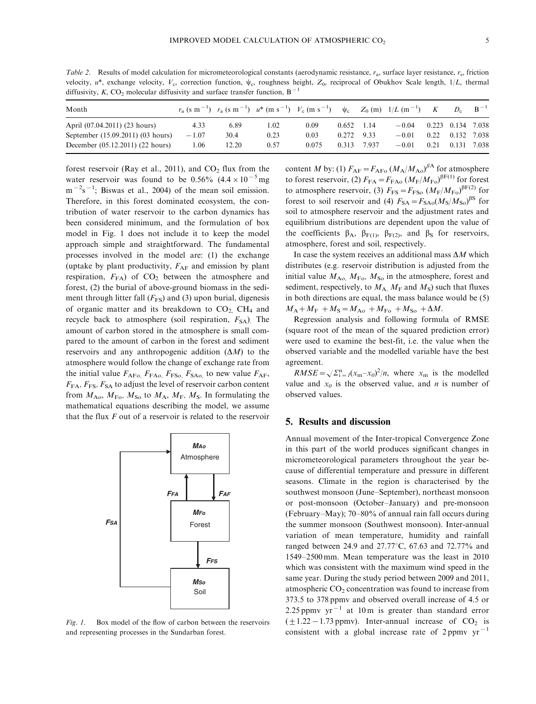Table 2. Results of model calculation for micrometeorological constants (aerodynamic resistance,  $r_a$ , surface layer resistance,  $r_s$ , friction velocity,  $u^*$ , exchange velocity,  $V_c$ , correction function,  $\psi_c$ , roughness height,  $Z_0$ , reciprocal of Obukhov Scale length,  $1/L$ , thermal diffusivity, K, CO<sub>2</sub> molecular diffusivity and surface transfer function,  $B^{-1}$ 

| Month                             |         |       | $r_a$ (s m <sup>-1</sup> ) $r_a$ (s m <sup>-1</sup> ) $u^*$ (m s <sup>-1</sup> ) $V_c$ (m s <sup>-1</sup> ) $\psi_c$ $Z_0$ (m) $1/L$ (m <sup>-1</sup> ) K |       |       |       |         |      | $D_{c}$           | $B^{-1}$ |
|-----------------------------------|---------|-------|-----------------------------------------------------------------------------------------------------------------------------------------------------------|-------|-------|-------|---------|------|-------------------|----------|
| April (07.04.2011) (23 hours)     | 4.33    | 6.89  | 1.02                                                                                                                                                      | 0.09  | 0.652 | 1.14  | $-0.04$ |      | 0.223 0.134 7.038 |          |
| September (15.09.2011) (03 hours) | $-1.07$ | 30.4  | 0.23                                                                                                                                                      | 0.03  | 0.272 | 9.33  | $-0.01$ | 0.22 | 0.132 7.038       |          |
| December (05.12.2011) (22 hours)  | 1.06    | 12.20 | 0.57                                                                                                                                                      | 0.075 | 0.313 | 7.937 | $-0.01$ | 0.21 | 0.131 7.038       |          |

forest reservoir (Ray et al., 2011), and  $CO<sub>2</sub>$  flux from the water reservoir was found to be 0.56%  $(4.4 \times 10^{-5}$  mg  $m^{-2}s^{-1}$ ; Biswas et al., 2004) of the mean soil emission. Therefore, in this forest dominated ecosystem, the contribution of water reservoir to the carbon dynamics has been considered minimum, and the formulation of box model in Fig. 1 does not include it to keep the model approach simple and straightforward. The fundamental processes involved in the model are: (1) the exchange (uptake by plant productivity,  $F_{AF}$  and emission by plant respiration,  $F_{FA}$ ) of  $CO<sub>2</sub>$  between the atmosphere and forest, (2) the burial of above-ground biomass in the sediment through litter fall  $(F_{FS})$  and (3) upon burial, digenesis of organic matter and its breakdown to  $CO<sub>2</sub>$ . CH<sub>4</sub> and recycle back to atmosphere (soil respiration,  $F_{SA}$ ). The amount of carbon stored in the atmosphere is small compared to the amount of carbon in the forest and sediment reservoirs and any anthropogenic addition  $(\Delta M)$  to the atmosphere would follow the change of exchange rate from the initial value  $F_{\text{AFo}}$ ,  $F_{\text{FAo}}$ ,  $F_{\text{FSo}}$ ,  $F_{\text{SAo}}$ , to new value  $F_{\text{AF}}$ ,  $F_{FA}$ ,  $F_{FS}$ ,  $F_{SA}$  to adjust the level of reservoir carbon content from  $M_{\rm Ao}$ ,  $M_{\rm Fo}$ ,  $M_{\rm So}$  to  $M_{\rm A}$ ,  $M_{\rm F}$ ,  $M_{\rm S}$ . In formulating the mathematical equations describing the model, we assume that the flux  $F$  out of a reservoir is related to the reservoir



Fig. 1. Box model of the flow of carbon between the reservoirs and representing processes in the Sundarban forest.

content M by: (1)  $F_{AF} = F_{AFo} (M_A/M_{Ao})^{\beta A}$  for atmosphere to forest reservoir, (2)  $F_{FA} = F_{FAo} (M_{F}/M_{Fo})^{BF(1)}$  for forest to atmosphere reservoir, (3)  $F_{\text{FS}} = F_{\text{FSo}} (M_{\text{F}}/M_{\text{Fo}})^{\beta \text{F}(2)}$  for forest to soil reservoir and (4)  $F_{SA} = F_{SAo}(M_S/M_{So})^{BS}$  for soil to atmosphere reservoir and the adjustment rates and equilibrium distributions are dependent upon the value of the coefficients  $\beta_A$ ,  $\beta_{F(1)}$ ,  $\beta_{F(2)}$ , and  $\beta_S$  for reservoirs, atmosphere, forest and soil, respectively.

In case the system receives an additional mass  $\Delta M$  which distributes (e.g. reservoir distribution is adjusted from the initial value  $M_{\rm Ao}$ ,  $M_{\rm Fo}$ ,  $M_{\rm So}$  in the atmosphere, forest and sediment, respectively, to  $M_A$ ,  $M_F$  and  $M_S$ ) such that fluxes in both directions are equal, the mass balance would be (5)  $M_A + M_F + M_S = M_{A0} + M_{F0} + M_{S0} + \Delta M$ .

Regression analysis and following formula of RMSE (square root of the mean of the squared prediction error) were used to examine the best-fit, i.e. the value when the observed variable and the modelled variable have the best agreement.

 $RMSE = \sqrt{\sum_{i=1}^{n} (x_m - x_0)^2/n}$ , where  $x_m$  is the modelled value and  $x_0$  is the observed value, and *n* is number of observed values.

## 5. Results and discussion

Annual movement of the Inter-tropical Convergence Zone in this part of the world produces significant changes in micrometeorological parameters throughout the year because of differential temperature and pressure in different seasons. Climate in the region is characterised by the southwest monsoon (June-September), northeast monsoon or post-monsoon (October-January) and pre-monsoon (February-May); 70-80% of annual rain fall occurs during the summer monsoon (Southwest monsoon). Inter-annual variation of mean temperature, humidity and rainfall ranged between 24.9 and 27.77°C, 67.63 and 72.77% and 1549-2500 mm. Mean temperature was the least in 2010 which was consistent with the maximum wind speed in the same year. During the study period between 2009 and 2011, atmospheric  $CO<sub>2</sub>$  concentration was found to increase from 373.5 to 378 ppmv and observed overall increase of 4.5 or 2.25 ppmv  $yr^{-1}$  at 10 m is greater than standard error  $(\pm 1.22 - 1.73$  ppmv). Inter-annual increase of CO<sub>2</sub> is consistent with a global increase rate of 2 ppmv  $yr^{-1}$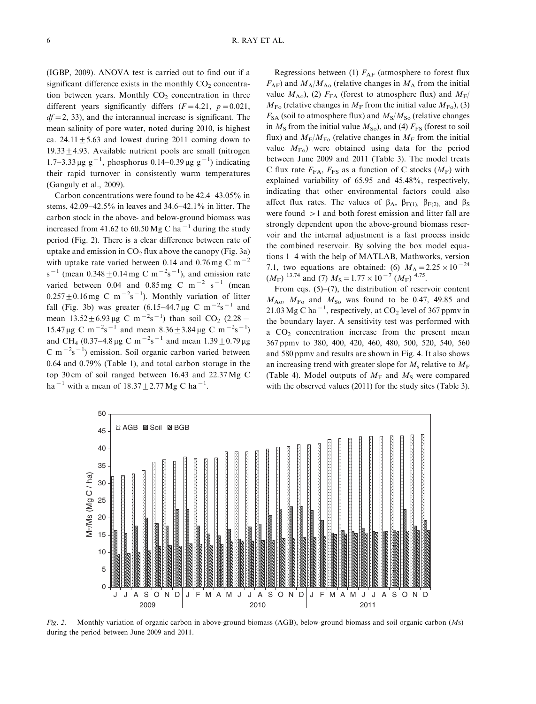(IGBP, 2009). ANOVA test is carried out to find out if a significant difference exists in the monthly  $CO<sub>2</sub>$  concentration between years. Monthly  $CO<sub>2</sub>$  concentration in three different years significantly differs  $(F=4.21, p=0.021,$  $df = 2$ , 33), and the interannual increase is significant. The mean salinity of pore water, noted during 2010, is highest ca.  $24.11 \pm 5.63$  and lowest during 2011 coming down to 19.33 $\pm$ 4.93. Available nutrient pools are small (nitrogen 1.7–3.33 μg g<sup>-1</sup>, phosphorus 0.14–0.39 μg g<sup>-1</sup>) indicating their rapid turnover in consistently warm temperatures (Ganguly et al., 2009).

Carbon concentrations were found to be 42.4-43.05% in stems, 42.09-42.5% in leaves and 34.6-42.1% in litter. The carbon stock in the above- and below-ground biomass was increased from 41.62 to 60.50 Mg C ha<sup>-1</sup> during the study period (Fig. 2). There is a clear difference between rate of uptake and emission in  $CO<sub>2</sub>$  flux above the canopy (Fig. 3a) with uptake rate varied between 0.14 and 0.76 mg C m<sup> $-2$ </sup> s<sup>-1</sup> (mean  $0.348 \pm 0.14$  mg C m<sup>-2</sup>s<sup>-1</sup>), and emission rate varied between 0.04 and 0.85 mg C m<sup>-2</sup> s<sup>-1</sup> (mean  $0.257 \pm 0.16$  mg C m<sup>-2</sup>s<sup>-1</sup>). Monthly variation of litter fall (Fig. 3b) was greater  $(6.15-44.7 \,\mu g \, C \, m^{-2} s^{-1}$  and mean  $13.52 \pm 6.93 \,\mu g$  C m<sup>-2</sup>s<sup>-1</sup>) than soil CO<sub>2</sub> (2.28 - $15.47 \,\mu g \text{ C m}^{-2} \text{s}^{-1}$  and mean  $8.36 \pm 3.84 \,\mu g \text{ C m}^{-2} \text{s}^{-1}$ ) and CH<sub>4</sub> (0.37–4.8 µg C m<sup>-2</sup>s<sup>-1</sup> and mean  $1.39 \pm 0.79$  µg  $C m^{-2}s^{-1}$ ) emission. Soil organic carbon varied between 0.64 and 0.79% (Table 1), and total carbon storage in the top 30 cm of soil ranged between 16.43 and 22.37 Mg C ha<sup>-1</sup> with a mean of  $18.37 \pm 2.77$  Mg C ha<sup>-1</sup>.

Regressions between (1)  $F_{AF}$  (atmosphere to forest flux  $F_{AF}$ ) and  $M_A/M_{A}$  (relative changes in  $M_A$  from the initial value  $M_{\rm Ao}$ ), (2)  $F_{\rm FA}$  (forest to atmosphere flux) and  $M_{\rm F}$ /  $M_{\text{Fo}}$  (relative changes in  $M_{\text{F}}$  from the initial value  $M_{\text{Fo}}$ ), (3)  $F_{SA}$  (soil to atmosphere flux) and  $M_S/M_{So}$  (relative changes in  $M<sub>S</sub>$  from the initial value  $M<sub>SO</sub>$ , and (4)  $F<sub>FS</sub>$  (forest to soil flux) and  $M_F/M_{F<sub>0</sub>}$  (relative changes in  $M_F$  from the initial value  $M_{\text{Fo}}$ ) were obtained using data for the period between June 2009 and 2011 (Table 3). The model treats C flux rate  $F_{FA}$ ,  $F_{FS}$  as a function of C stocks  $(M_F)$  with explained variability of 65.95 and 45.48%, respectively, indicating that other environmental factors could also affect flux rates. The values of  $\beta_A$ ,  $\beta_{F(1)}$ ,  $\beta_{F(2)}$ , and  $\beta_S$ were found  $>1$  and both forest emission and litter fall are strongly dependent upon the above-ground biomass reservoir and the internal adjustment is a fast process inside the combined reservoir. By solving the box model equations 1-4 with the help of MATLAB, Mathworks, version 7.1, two equations are obtained: (6)  $M_A = 2.25 \times 10^{-24}$  $(M_F)^{13.74}$  and (7)  $M_S = 1.77 \times 10^{-7}$  ( $M_F$ ) <sup>4.75</sup>.

From eqs. (5)–(7), the distribution of reservoir content  $M_{\rm A_0}$ ,  $M_{\rm F_0}$  and  $M_{\rm So}$  was found to be 0.47, 49.85 and 21.03 Mg C ha<sup> $-1$ </sup>, respectively, at CO<sub>2</sub> level of 367 ppmv in the boundary layer. A sensitivity test was performed with a  $CO<sub>2</sub>$  concentration increase from the present mean 367 ppmv to 380, 400, 420, 460, 480, 500, 520, 540, 560 and 580 ppmv and results are shown in Fig. 4. It also shows an increasing trend with greater slope for  $M_s$  relative to  $M_F$ (Table 4). Model outputs of  $M_F$  and  $M_S$  were compared with the observed values (2011) for the study sites (Table 3).



Fig. 2. Monthly variation of organic carbon in above-ground biomass (AGB), below-ground biomass and soil organic carbon (Ms) during the period between June 2009 and 2011.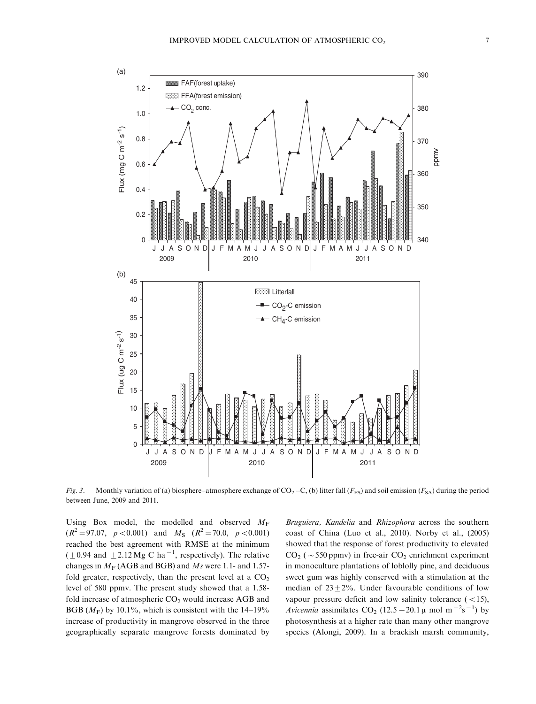

Fig. 3. Monthly variation of (a) biosphere–atmosphere exchange of  $CO_2-C$ , (b) litter fall (F<sub>FS</sub>) and soil emission (F<sub>SA</sub>) during the period between June, 2009 and 2011.

Using Box model, the modelled and observed  $M_F$  $(R^2 = 97.07, p < 0.001)$  and  $M_s$   $(R^2 = 70.0, p < 0.001)$ reached the best agreement with RMSE at the minimum  $(\pm 0.94$  and  $\pm 2.12$  Mg C ha<sup>-1</sup>, respectively). The relative changes in  $M_F$  (AGB and BGB) and Ms were 1.1- and 1.57fold greater, respectively, than the present level at a  $CO<sub>2</sub>$ level of 580 ppmv. The present study showed that a 1.58 fold increase of atmospheric  $CO<sub>2</sub>$  would increase AGB and BGB  $(M_F)$  by 10.1%, which is consistent with the 14–19% increase of productivity in mangrove observed in the three geographically separate mangrove forests dominated by Bruguiera, Kandelia and Rhizophora across the southern coast of China (Luo et al., 2010). Norby et al., (2005) showed that the response of forest productivity to elevated  $CO<sub>2</sub>$  ( $\sim$  550 ppmv) in free-air  $CO<sub>2</sub>$  enrichment experiment in monoculture plantations of loblolly pine, and deciduous sweet gum was highly conserved with a stimulation at the median of  $23+2\%$ . Under favourable conditions of low vapour pressure deficit and low salinity tolerance  $(<15)$ , Avicennia assimilates CO<sub>2</sub> (12.5 – 20.1  $\mu$  mol m<sup>-2</sup>s<sup>-1</sup>) by photosynthesis at a higher rate than many other mangrove species (Alongi, 2009). In a brackish marsh community,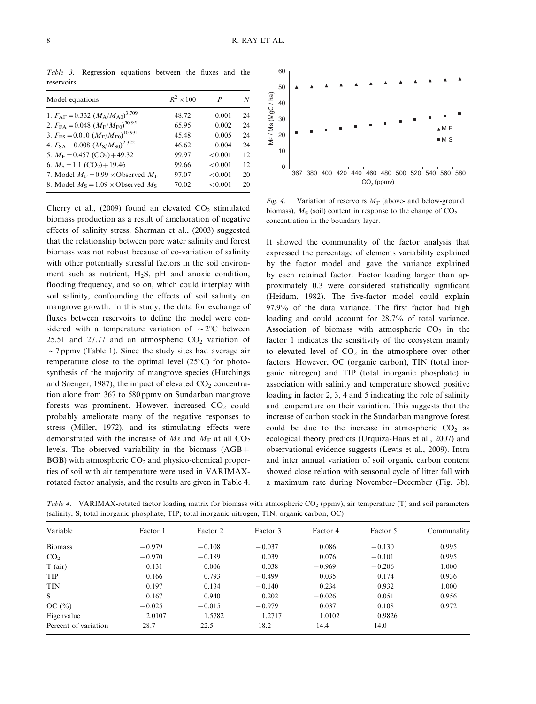Model equations  $R^2 \times 100$  P N 1.  $F_{\rm AF}=0.332~(M_{\rm A}/M_{\rm A0})^{3.709}$ 3.709 48.72 0.001 24 2.  $F_{FA}=0.048~(M_F/M_{F0})^{50.95}$ 50.95 65.95 0.002 24 3.  $F_{\text{FS}} = 0.010 \left( M_{\text{F}} / M_{\text{F0}} \right)^{10.931}$ 10.931 45.48 0.005 24 4.  $F_{\text{SA}} = 0.008 \ (M_{\text{S}}/M_{\text{S0}})^{2.322}$ 2.322 46.62 0.004 24 5.  $M_F = 0.457 \text{ (CO}_2) + 49.32$  99.97  $< 0.001$  12 6.  $M_s = 1.1$  (CO<sub>2</sub>) + 19.46 99.66 < 0.001 12 7. Model  $M_F = 0.99 \times \text{Observed } M_F$  97.07  $< 0.001$  20 8. Model  $M_s = 1.09 \times \text{Observed } M_s$  70.02  $\lt 0.001$  20

Table 3. Regression equations between the fluxes and the reservoirs

Cherry et al., (2009) found an elevated  $CO<sub>2</sub>$  stimulated biomass production as a result of amelioration of negative effects of salinity stress. Sherman et al., (2003) suggested that the relationship between pore water salinity and forest biomass was not robust because of co-variation of salinity with other potentially stressful factors in the soil environment such as nutrient,  $H_2S$ , pH and anoxic condition, flooding frequency, and so on, which could interplay with soil salinity, confounding the effects of soil salinity on mangrove growth. In this study, the data for exchange of fluxes between reservoirs to define the model were considered with a temperature variation of  $\sim 2^{\circ}$ C between 25.51 and 27.77 and an atmospheric  $CO<sub>2</sub>$  variation of  $\sim$  7 ppmv (Table 1). Since the study sites had average air temperature close to the optimal level  $(25^{\circ}C)$  for photosynthesis of the majority of mangrove species (Hutchings and Saenger, 1987), the impact of elevated  $CO<sub>2</sub>$  concentration alone from 367 to 580 ppmv on Sundarban mangrove forests was prominent. However, increased  $CO<sub>2</sub>$  could probably ameliorate many of the negative responses to stress (Miller, 1972), and its stimulating effects were demonstrated with the increase of Ms and  $M_F$  at all CO<sub>2</sub> levels. The observed variability in the biomass  $(AGB +$  $BGB$ ) with atmospheric  $CO<sub>2</sub>$  and physico-chemical properties of soil with air temperature were used in VARIMAXrotated factor analysis, and the results are given in Table 4.



Fig. 4. Variation of reservoirs  $M_F$  (above- and below-ground biomass),  $M<sub>S</sub>$  (soil) content in response to the change of  $CO<sub>2</sub>$ concentration in the boundary layer.

It showed the communality of the factor analysis that expressed the percentage of elements variability explained by the factor model and gave the variance explained by each retained factor. Factor loading larger than approximately 0.3 were considered statistically significant (Heidam, 1982). The five-factor model could explain 97.9% of the data variance. The first factor had high loading and could account for 28.7% of total variance. Association of biomass with atmospheric  $CO<sub>2</sub>$  in the factor 1 indicates the sensitivity of the ecosystem mainly to elevated level of  $CO<sub>2</sub>$  in the atmosphere over other factors. However, OC (organic carbon), TIN (total inorganic nitrogen) and TIP (total inorganic phosphate) in association with salinity and temperature showed positive loading in factor 2, 3, 4 and 5 indicating the role of salinity and temperature on their variation. This suggests that the increase of carbon stock in the Sundarban mangrove forest could be due to the increase in atmospheric  $CO<sub>2</sub>$  as ecological theory predicts (Urquiza-Haas et al., 2007) and observational evidence suggests (Lewis et al., 2009). Intra and inter annual variation of soil organic carbon content showed close relation with seasonal cycle of litter fall with a maximum rate during November-December (Fig. 3b).

Table 4. VARIMAX-rotated factor loading matrix for biomass with atmospheric  $CO_2$  (ppmv), air temperature (T) and soil parameters (salinity, S; total inorganic phosphate, TIP; total inorganic nitrogen, TIN; organic carbon, OC)

| Variable             | Factor 1 | Factor 2 | Factor 3 | Factor 4 | Factor 5 | Communality |
|----------------------|----------|----------|----------|----------|----------|-------------|
| <b>Biomass</b>       | $-0.979$ | $-0.108$ | $-0.037$ | 0.086    | $-0.130$ | 0.995       |
| CO <sub>2</sub>      | $-0.970$ | $-0.189$ | 0.039    | 0.076    | $-0.101$ | 0.995       |
| $T$ (air)            | 0.131    | 0.006    | 0.038    | $-0.969$ | $-0.206$ | 1.000       |
| <b>TIP</b>           | 0.166    | 0.793    | $-0.499$ | 0.035    | 0.174    | 0.936       |
| <b>TIN</b>           | 0.197    | 0.134    | $-0.140$ | 0.234    | 0.932    | 1.000       |
| S                    | 0.167    | 0.940    | 0.202    | $-0.026$ | 0.051    | 0.956       |
| OC $(\% )$           | $-0.025$ | $-0.015$ | $-0.979$ | 0.037    | 0.108    | 0.972       |
| Eigenvalue           | 2.0107   | 1.5782   | 1.2717   | 1.0102   | 0.9826   |             |
| Percent of variation | 28.7     | 22.5     | 18.2     | 14.4     | 14.0     |             |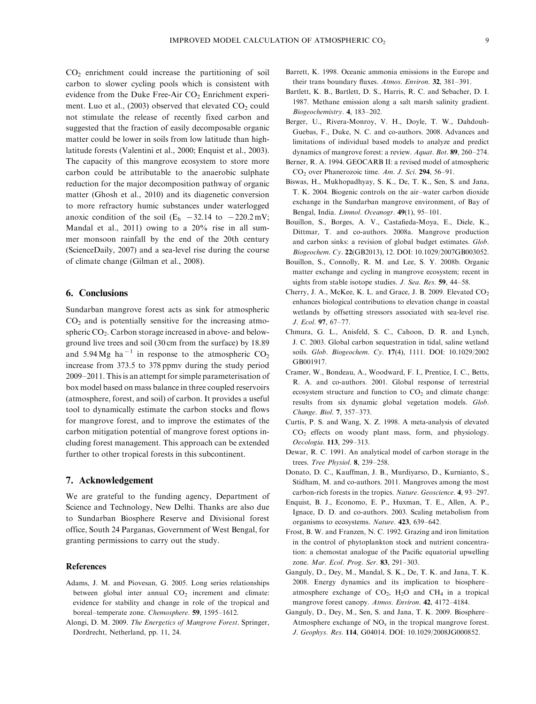$CO<sub>2</sub>$  enrichment could increase the partitioning of soil carbon to slower cycling pools which is consistent with evidence from the Duke Free-Air  $CO<sub>2</sub>$  Enrichment experiment. Luo et al., (2003) observed that elevated  $CO<sub>2</sub>$  could not stimulate the release of recently fixed carbon and suggested that the fraction of easily decomposable organic matter could be lower in soils from low latitude than highlatitude forests (Valentini et al., 2000; Enquist et al., 2003). The capacity of this mangrove ecosystem to store more carbon could be attributable to the anaerobic sulphate reduction for the major decomposition pathway of organic matter (Ghosh et al., 2010) and its diagenetic conversion to more refractory humic substances under waterlogged anoxic condition of the soil  $(E_h - 32.14 \text{ to } -220.2 \text{ mV};$ Mandal et al., 2011) owing to a 20% rise in all summer monsoon rainfall by the end of the 20th century (ScienceDaily, 2007) and a sea-level rise during the course of climate change (Gilman et al., 2008).

# 6. Conclusions

Sundarban mangrove forest acts as sink for atmospheric  $CO<sub>2</sub>$  and is potentially sensitive for the increasing atmospheric CO<sub>2</sub>. Carbon storage increased in above- and belowground live trees and soil (30 cm from the surface) by 18.89 and 5.94 Mg ha<sup>-1</sup> in response to the atmospheric CO<sub>2</sub> increase from 373.5 to 378 ppmv during the study period 2009-2011. This is an attempt for simple parameterisation of box model based on mass balance in three coupled reservoirs (atmosphere, forest, and soil) of carbon. It provides a useful tool to dynamically estimate the carbon stocks and flows for mangrove forest, and to improve the estimates of the carbon mitigation potential of mangrove forest options including forest management. This approach can be extended further to other tropical forests in this subcontinent.

#### 7. Acknowledgement

We are grateful to the funding agency, Department of Science and Technology, New Delhi. Thanks are also due to Sundarban Biosphere Reserve and Divisional forest office, South 24 Parganas, Government of West Bengal, for granting permissions to carry out the study.

### References

- Adams, J. M. and Piovesan, G. 2005. Long series relationships between global inter annual  $CO<sub>2</sub>$  increment and climate: evidence for stability and change in role of the tropical and boreal-temperate zone. Chemosphere. 59, 1595-1612.
- Alongi, D. M. 2009. The Energetics of Mangrove Forest. Springer, Dordrecht, Netherland, pp. 11, 24.
- Barrett, K. 1998. Oceanic ammonia emissions in the Europe and their trans boundary fluxes. Atmos. Environ. 32, 381-391.
- Bartlett, K. B., Bartlett, D. S., Harris, R. C. and Sebacher, D. I. 1987. Methane emission along a salt marsh salinity gradient. Biogeochemistry. 4, 183-202.
- Berger, U., Rivera-Monroy, V. H., Doyle, T. W., Dahdouh-Guebas, F., Duke, N. C. and co-authors. 2008. Advances and limitations of individual based models to analyze and predict dynamics of mangrove forest: a review. Aquat. Bot. 89, 260-274.
- Berner, R. A. 1994. GEOCARB II: a revised model of atmospheric  $CO<sub>2</sub>$  over Phanerozoic time. Am. J. Sci. 294, 56–91.
- Biswas, H., Mukhopadhyay, S. K., De, T. K., Sen, S. and Jana, T. K. 2004. Biogenic controls on the air-water carbon dioxide exchange in the Sundarban mangrove environment, of Bay of Bengal, India. Limnol. Oceanogr. 49(1), 95-101.
- Bouillon, S., Borges, A. V., Castafieda-Moya, E., Diele, K., Dittmar, T. and co-authors. 2008a. Mangrove production and carbon sinks: a revision of global budget estimates. Glob. Biogeochem. Cy. 22(GB2013), 12. DOI: 10.1029/2007GB003052.
- Bouillon, S., Connolly, R. M. and Lee, S. Y. 2008b. Organic matter exchange and cycling in mangrove ecosystem; recent in sights from stable isotope studies. *J. Sea. Res.* 59, 44–58.
- Cherry, J. A., McKee, K. L. and Grace, J. B. 2009. Elevated CO<sub>2</sub> enhances biological contributions to elevation change in coastal wetlands by offsetting stressors associated with sea-level rise. J. Ecol. 97, 67-77.
- Chmura, G. L., Anisfeld, S. C., Cahoon, D. R. and Lynch, J. C. 2003. Global carbon sequestration in tidal, saline wetland soils. Glob. Biogeochem. Cy. 17(4), 1111. DOI: 10.1029/2002 GB001917.
- Cramer, W., Bondeau, A., Woodward, F. I., Prentice, I. C., Betts, R. A. and co-authors. 2001. Global response of terrestrial ecosystem structure and function to  $CO<sub>2</sub>$  and climate change: results from six dynamic global vegetation models. Glob. Change. Biol. 7, 357-373.
- Curtis, P. S. and Wang, X. Z. 1998. A meta-analysis of elevated CO2 effects on woody plant mass, form, and physiology. Oecologia. 113, 299-313.
- Dewar, R. C. 1991. An analytical model of carbon storage in the trees. Tree Physiol. 8, 239-258.
- Donato, D. C., Kauffman, J. B., Murdiyarso, D., Kurnianto, S., Stidham, M. and co-authors. 2011. Mangroves among the most carbon-rich forests in the tropics. Nature. Geoscience. 4, 93-297.
- Enquist, B. J., Economo, E. P., Huxman, T. E., Allen, A. P., Ignace, D. D. and co-authors. 2003. Scaling metabolism from organisms to ecosystems. Nature. 423, 639-642.
- Frost, B. W. and Franzen, N. C. 1992. Grazing and iron limitation in the control of phytoplankton stock and nutrient concentration: a chemostat analogue of the Pacific equatorial upwelling zone. Mar. Ecol. Prog. Ser. 83, 291-303.
- Ganguly, D., Dey, M., Mandal, S. K., De, T. K. and Jana, T. K. 2008. Energy dynamics and its implication to biosphere atmosphere exchange of  $CO<sub>2</sub>$ , H<sub>2</sub>O and CH<sub>4</sub> in a tropical mangrove forest canopy. Atmos. Environ. 42, 4172-4184.
- Ganguly, D., Dey, M., Sen, S. and Jana, T. K. 2009. Biosphere- Atmosphere exchange of  $NO<sub>x</sub>$  in the tropical mangrove forest. J. Geophys. Res. 114, G04014. DOI: 10.1029/2008JG000852.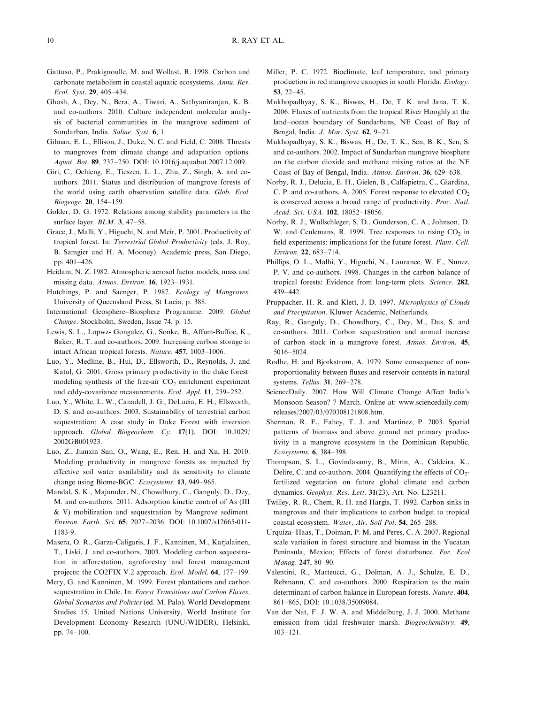- Gattuso, P., Prakignoulle, M. and Wollast, R. 1998. Carbon and carbonate metabolism in coastal aquatic ecosystems. Annu. Rev. Ecol. Syst. 29, 405-434.
- Ghosh, A., Dey, N., Bera, A., Tiwari, A., Sathyaniranjan, K. B. and co-authors. 2010. Culture independent molecular analysis of bacterial communities in the mangrove sediment of Sundarban, India. Saline. Syst. 6, 1.
- Gilman, E. L., Ellison, J., Duke, N. C. and Field, C. 2008. Threats to mangroves from climate change and adaptation options. Aquat. Bot. 89, 237-250. DOI: 10.1016/j.aquabot.2007.12.009.
- Giri, C., Ochieng, E., Tieszen, L. L., Zhu, Z., Singh, A. and coauthors. 2011. Status and distribution of mangrove forests of the world using earth observation satellite data. Glob. Ecol. Biogeogr. 20, 154-159.
- Golder, D. G. 1972. Relations among stability parameters in the surface layer. *BLM*. 3, 47–58.
- Grace, J., Malli, Y., Higuchi, N. and Meir, P. 2001. Productivity of tropical forest. In: Terrestrial Global Productivity (eds. J. Roy, B. Samgier and H. A. Mooney). Academic press, San Diego, pp. 401-426.
- Heidam, N. Z. 1982. Atmospheric aerosol factor models, mass and missing data. Atmos. Environ. **16**, 1923–1931.
- Hutchings, P. and Saenger, P. 1987. Ecology of Mangroves. University of Queensland Press, St Lucia, p. 388.
- International Geosphere-Biosphere Programme. 2009. Global Change. Stockholm, Sweden, Issue 74, p. 15.
- Lewis, S. L., Lopwz- Gongalez, G., Sonke, B., Affum-Buffoe, K., Baker, R. T. and co-authors. 2009. Increasing carbon storage in intact African tropical forests. Nature. 457, 1003-1006.
- Luo, Y., Medline, B., Hui, D., Ellsworth, D., Reynolds, J. and Katul, G. 2001. Gross primary productivity in the duke forest: modeling synthesis of the free-air  $CO<sub>2</sub>$  enrichment experiment and eddy-covariance measurements. *Ecol. Appl.* **11**, 239–252.
- Luo, Y., White, L. W., Canadell, J. G., DeLucia, E. H., Ellsworth, D. S. and co-authors. 2003. Sustainability of terrestrial carbon sequestration: A case study in Duke Forest with inversion approach. Global Biogeochem. Cy. 17(1). DOI: 10.1029/ 2002GB001923.
- Luo, Z., Jianxin Sun, O., Wang, E., Ren, H. and Xu, H. 2010. Modeling productivity in mangrove forests as impacted by effective soil water availability and its sensitivity to climate change using Biome-BGC. Ecosystems. 13, 949-965.
- Mandal, S. K., Majumder, N., Chowdhury, C., Ganguly, D., Dey, M. and co-authors. 2011. Adsorption kinetic control of As (III & V) mobilization and sequestration by Mangrove sediment. Environ. Earth. Sci. 65, 2027-2036. DOI: 10.1007/s12665-011- 1183-9.
- Masera, O. R., Garza-Caligaris, J. F., Kanninen, M., Karjalainen, T., Liski, J. and co-authors. 2003. Modeling carbon sequestration in afforestation, agroforestry and forest management projects: the CO2FIX V.2 approach. *Ecol. Model*. **64**, 177–199.
- Mery, G. and Kanninen, M. 1999. Forest plantations and carbon sequestration in Chile. In: Forest Transitions and Carbon Fluxes, Global Scenarios and Policies (ed. M. Palo). World Development Studies 15. United Nations University, World Institute for Development Economy Research (UNU/WIDER), Helsinki, pp. 74-100.
- Miller, P. C. 1972. Bioclimate, leaf temperature, and primary production in red mangrove canopies in south Florida. Ecology.  $53, 22 - 45.$
- Mukhopadhyay, S. K., Biswas, H., De, T. K. and Jana, T. K. 2006. Fluxes of nutrients from the tropical River Hooghly at the land-ocean boundary of Sundarbans, NE Coast of Bay of Bengal, India. *J. Mar. Syst.* **62**, 9-21.
- Mukhopadhyay, S. K., Biswas, H., De, T. K., Sen, B. K., Sen, S. and co-authors. 2002. Impact of Sundarban mangrove biosphere on the carbon dioxide and methane mixing ratios at the NE Coast of Bay of Bengal, India. Atmos. Environ. 36, 629-638.
- Norby, R. J., Delucia, E. H., Gielen, B., Calfapietra, C., Giardina, C. P. and co-authors, A. 2005. Forest response to elevated  $CO<sub>2</sub>$ is conserved across a broad range of productivity. Proc. Natl. Acad. Sci. USA. 102, 18052-18056.
- Norby, R. J., Wullschleger, S. D., Gunderson, C. A., Johnson, D. W. and Ceulemans, R. 1999. Tree responses to rising  $CO<sub>2</sub>$  in field experiments: implications for the future forest. Plant. Cell. Environ. 22, 683-714.
- Phillips, O. L., Malhi, Y., Higuchi, N., Laurance, W. F., Nunez, P. V. and co-authors. 1998. Changes in the carbon balance of tropical forests: Evidence from long-term plots. Science. 282, 439-442.
- Pruppacher, H. R. and Klett, J. D. 1997. Microphysics of Clouds and Precipitation. Kluwer Academic, Netherlands.
- Ray, R., Ganguly, D., Chowdhury, C., Dey, M., Das, S. and co-authors. 2011. Carbon sequestration and annual increase of carbon stock in a mangrove forest. Atmos. Environ. 45, 5016-5024.
- Rodhe, H. and Bjorkstrom, A. 1979. Some consequence of nonproportionality between fluxes and reservoir contents in natural systems. Tellus. 31, 269-278.
- ScienceDaily. 2007. How Will Climate Change Affect India's Monsoon Season? 7 March. Online at: [www.sciencedaily.com/](http://www.sciencedaily.com/releases/2007/03/070308121808.htm) [releases/2007/03/070308121808.htm](http://www.sciencedaily.com/releases/2007/03/070308121808.htm).
- Sherman, R. E., Fahey, T. J. and Martinez, P. 2003. Spatial patterns of biomass and above ground net primary productivity in a mangrove ecosystem in the Dominican Republic. Ecosystems. 6, 384-398.
- Thompson, S. L., Govindasamy, B., Mirin, A., Caldeira, K., Delire, C. and co-authors. 2004. Quantifying the effects of  $CO<sub>2</sub>$ fertilized vegetation on future global climate and carbon dynamics. Geophys. Res. Lett. 31(23), Art. No. L23211.
- Twilley, R. R., Chem, R. H. and Hargis, T. 1992. Carbon sinks in mangroves and their implications to carbon budget to tropical coastal ecosystem. Water, Air. Soil Pol. 54, 265-288.
- Urquiza- Haas, T., Doiman, P. M. and Peres, C. A. 2007. Regional scale variation in forest structure and biomass in the Yucatan Peninsula, Mexico; Effects of forest disturbance. For. Ecol Manag. 247, 80-90.
- Valentini, R., Matteucci, G., Dolman, A. J., Schulze, E. D., Rebmann, C. and co-authors. 2000. Respiration as the main determinant of carbon balance in European forests. Nature. 404, 861-865, DOI: 10.1038/35009084.
- Van der Nat, F. J. W. A. and Middelburg, J. J. 2000. Methane emission from tidal freshwater marsh. Biogeochemistry. 49, 103-121.